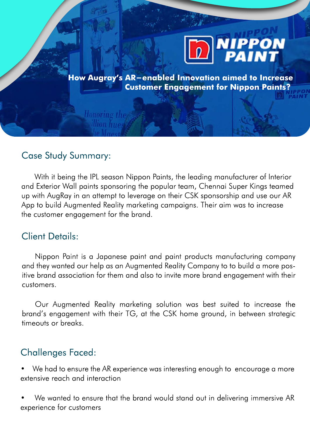

**How Augray's AR-enabled Innovation aimed to Increase Customer Engagement for Nippon Paints?** 

### Case Study Summary:

Honoring the illion hu*os* 

With it being the IPL season Nippon Paints, the leading manufacturer of Interior and Exterior Wall paints sponsoring the popular team, Chennai Super Kings teamed up with AugRay in an attempt to leverage on their CSK sponsorship and use our AR App to build Augmented Reality marketing campaigns. Their aim was to increase the customer engagement for the brand.

### Client Details:

Nippon Paint is a Japanese paint and paint products manufacturing company and they wanted our help as an Augmented Reality Company to to build a more positive brand association for them and also to invite more brand engagement with their customers.

Our Augmented Reality marketing solution was best suited to increase the brand's engagement with their TG, at the CSK home ground, in between strategic timeouts or breaks.

#### Challenges Faced:

• We had to ensure the AR experience was interesting enough to encourage a more extensive reach and interaction

• We wanted to ensure that the brand would stand out in delivering immersive AR experience for customers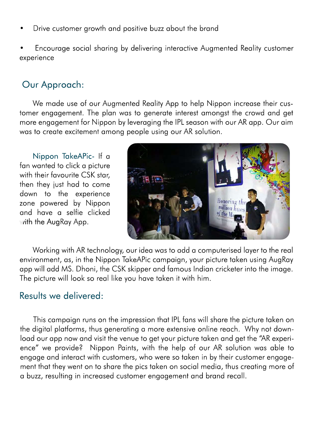- Drive customer growth and positive buzz about the brand
- Encourage social sharing by delivering interactive Augmented Reality customer experience

# Our Approach:

We made use of our Augmented Reality App to help Nippon increase their customer engagement. The plan was to generate interest amongst the crowd and get more engagement for Nippon by leveraging the IPL season with our AR app. Our aim was to create excitement among people using our AR solution.

Nippon TakeAPic- If a fan wanted to click a picture with their favourite CSK star, then they just had to come down to the experience zone powered by Nippon and have a selfie clicked with the  $AugRay App.$ 



Working with AR technology, our idea was to add a computerised layer to the real environment, as, in the Nippon TakeAPic campaign, your picture taken using AugRay app will add MS. Dhoni, the CSK skipper and famous Indian cricketer into the image. The picture will look so real like you have taken it with him.

### Results we delivered:

This campaign runs on the impression that IPL fans will share the picture taken on the digital platforms, thus generating a more extensive online reach. Why not download our app now and visit the venue to get your picture taken and get the "AR experience" we provide? Nippon Paints, with the help of our AR solution was able to engage and interact with customers, who were so taken in by their customer engagement that they went on to share the pics taken on social media, thus creating more of a buzz, resulting in increased customer engagement and brand recall.